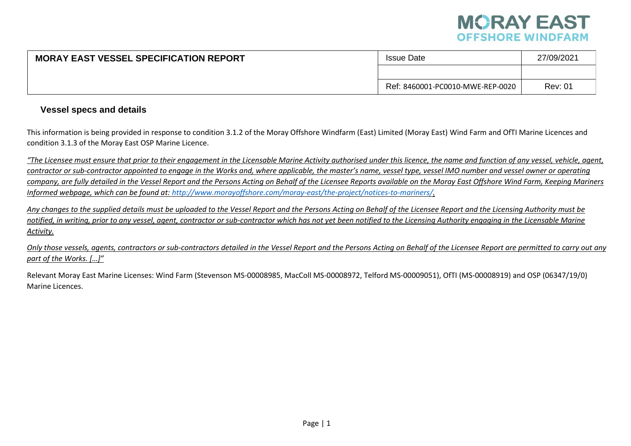

| <b>MORAY EAST VESSEL SPECIFICATION REPORT</b> | <b>Issue Date</b>                | 27/09/2021     |
|-----------------------------------------------|----------------------------------|----------------|
|                                               |                                  |                |
|                                               | Ref: 8460001-PC0010-MWE-REP-0020 | <b>Rev: 01</b> |

## **Vessel specs and details**

This information is being provided in response to condition 3.1.2 of the Moray Offshore Windfarm (East) Limited (Moray East) Wind Farm and OfTI Marine Licences and condition 3.1.3 of the Moray East OSP Marine Licence.

*"The Licensee must ensure that prior to their engagement in the Licensable Marine Activity authorised under this licence, the name and function of any vessel, vehicle, agent, contractor or sub-contractor appointed to engage in the Works and, where applicable, the master's name, vessel type, vessel IMO number and vessel owner or operating company, are fully detailed in the Vessel Report and the Persons Acting on Behalf of the Licensee Reports available on the Moray East Offshore Wind Farm, Keeping Mariners Informed webpage, which can be found at: [http://www.morayoffshore.com/moray-east/the-project/notices-to-mariners/.](http://www.morayoffshore.com/moray-east/the-project/notices-to-mariners/)*

*Any changes to the supplied details must be uploaded to the Vessel Report and the Persons Acting on Behalf of the Licensee Report and the Licensing Authority must be* notified, in writing, prior to any vessel, agent, contractor or sub-contractor which has not yet been notified to the Licensing Authority engaging in the Licensable Marine *Activity.*

*Only those vessels, agents, contractors or sub-contractors detailed in the Vessel Report and the Persons Acting on Behalf of the Licensee Report are permitted to carry out any part of the Works. […]"*

Relevant Moray East Marine Licenses: Wind Farm (Stevenson MS-00008985, MacColl MS-00008972, Telford MS-00009051), OfTI (MS-00008919) and OSP (06347/19/0) Marine Licences.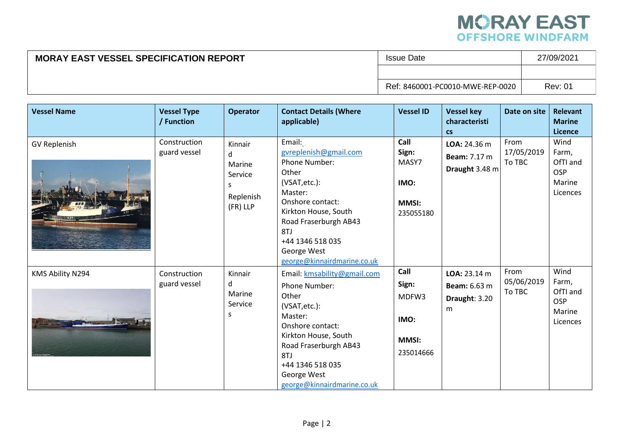

## **MORAY EAST VESSEL SPECIFICATION REPORT ISSUE Date** 27/09/2021 Ref: 8460001-PC0010-MWE-REP-0020 Rev: 01

| <b>Vessel Name</b>  | <b>Vessel Type</b><br>/ Function | <b>Operator</b>                                                 | <b>Contact Details (Where</b><br>applicable)                                                                                                                                                                                               | <b>Vessel ID</b>                                            | <b>Vessel key</b><br>characteristi<br><b>CS</b>           | Date on site                 | <b>Relevant</b><br><b>Marine</b><br>Licence                   |
|---------------------|----------------------------------|-----------------------------------------------------------------|--------------------------------------------------------------------------------------------------------------------------------------------------------------------------------------------------------------------------------------------|-------------------------------------------------------------|-----------------------------------------------------------|------------------------------|---------------------------------------------------------------|
| <b>GV Replenish</b> | Construction<br>guard vessel     | Kinnair<br>d<br>Marine<br>Service<br>S<br>Replenish<br>(FR) LLP | Email:<br>gvreplenish@gmail.com<br><b>Phone Number:</b><br>Other<br>(VSAT, etc.):<br>Master:<br>Onshore contact:<br>Kirkton House, South<br>Road Fraserburgh AB43<br>8TJ<br>+44 1346 518 035<br>George West<br>george@kinnairdmarine.co.uk | Call<br>Sign:<br>MASY7<br>IMO:<br><b>MMSI:</b><br>235055180 | LOA: 24.36 m<br><b>Beam: 7.17 m</b><br>Draught 3.48 m     | From<br>17/05/2019<br>To TBC | Wind<br>Farm,<br>OfTI and<br><b>OSP</b><br>Marine<br>Licences |
| KMS Ability N294    | Construction<br>guard vessel     | Kinnair<br>d<br>Marine<br>Service<br>S                          | Email: kmsability@gmail.com<br>Phone Number:<br>Other<br>(VSAT, etc.):<br>Master:<br>Onshore contact:<br>Kirkton House, South<br>Road Fraserburgh AB43<br>8TJ<br>+44 1346 518 035<br>George West<br>george@kinnairdmarine.co.uk            | Call<br>Sign:<br>MDFW3<br>IMO:<br><b>MMSI:</b><br>235014666 | LOA: 23.14 m<br><b>Beam:</b> 6.63 m<br>Draught: 3.20<br>m | From<br>05/06/2019<br>To TBC | Wind<br>Farm,<br>OfTI and<br><b>OSP</b><br>Marine<br>Licences |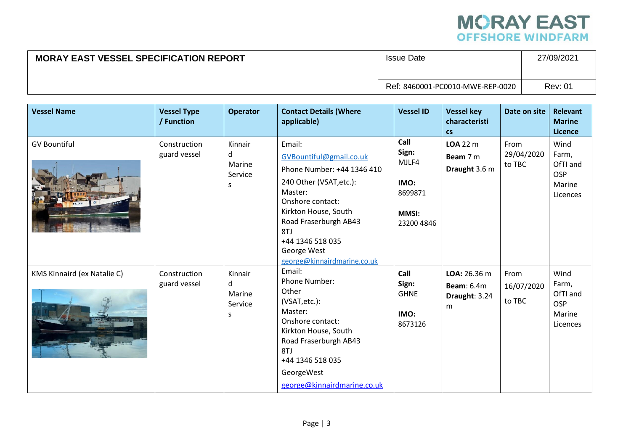

## **MORAY EAST VESSEL SPECIFICATION REPORT ISSUE Date** 27/09/2021 Ref: 8460001-PC0010-MWE-REP-0020 Rev: 01

| <b>Vessel Name</b>                 | <b>Vessel Type</b><br>/ Function | <b>Operator</b>                         | <b>Contact Details (Where</b><br>applicable)                                                                                                                                                                                                        | <b>Vessel ID</b>                                                        | <b>Vessel key</b><br>characteristi<br><b>CS</b>         | Date on site                 | <b>Relevant</b><br><b>Marine</b><br><b>Licence</b>            |
|------------------------------------|----------------------------------|-----------------------------------------|-----------------------------------------------------------------------------------------------------------------------------------------------------------------------------------------------------------------------------------------------------|-------------------------------------------------------------------------|---------------------------------------------------------|------------------------------|---------------------------------------------------------------|
| <b>GV Bountiful</b>                | Construction<br>guard vessel     | Kinnair<br>d<br>Marine<br>Service<br>S. | Email:<br>GVBountiful@gmail.co.uk<br>Phone Number: +44 1346 410<br>240 Other (VSAT, etc.):<br>Master:<br>Onshore contact:<br>Kirkton House, South<br>Road Fraserburgh AB43<br>8TJ<br>+44 1346 518 035<br>George West<br>george@kinnairdmarine.co.uk | Call<br>Sign:<br>MJLF4<br>IMO:<br>8699871<br><b>MMSI:</b><br>23200 4846 | $LOA$ 22 $m$<br>Beam 7 m<br>Draught 3.6 m               | From<br>29/04/2020<br>to TBC | Wind<br>Farm,<br>OfTI and<br><b>OSP</b><br>Marine<br>Licences |
| <b>KMS Kinnaird (ex Natalie C)</b> | Construction<br>guard vessel     | Kinnair<br>d<br>Marine<br>Service<br>S  | Email:<br>Phone Number:<br>Other<br>(VSAT, etc.):<br>Master:<br>Onshore contact:<br>Kirkton House, South<br>Road Fraserburgh AB43<br>8TJ<br>+44 1346 518 035<br>GeorgeWest<br>george@kinnairdmarine.co.uk                                           | Call<br>Sign:<br><b>GHNE</b><br>IMO:<br>8673126                         | LOA: 26.36 m<br><b>Beam: 6.4m</b><br>Draught: 3.24<br>m | From<br>16/07/2020<br>to TBC | Wind<br>Farm,<br>OfTI and<br><b>OSP</b><br>Marine<br>Licences |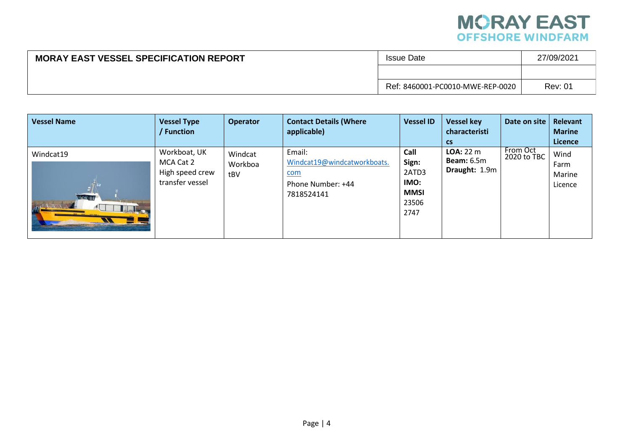

| <b>MORAY EAST VESSEL SPECIFICATION REPORT</b> | <b>Issue Date</b>                | 27/09/2021     |
|-----------------------------------------------|----------------------------------|----------------|
|                                               |                                  |                |
|                                               | Ref: 8460001-PC0010-MWE-REP-0020 | <b>Rev: 01</b> |

| <b>Vessel Name</b>                                                      | <b>Vessel Type</b><br>Function                                  | <b>Operator</b>           | <b>Contact Details (Where</b><br>applicable)                                           | <b>Vessel ID</b>                                               | <b>Vessel key</b><br>characteristi<br><b>CS</b>        | Date on site            | Relevant<br><b>Marine</b><br>Licence |
|-------------------------------------------------------------------------|-----------------------------------------------------------------|---------------------------|----------------------------------------------------------------------------------------|----------------------------------------------------------------|--------------------------------------------------------|-------------------------|--------------------------------------|
| Windcat19<br><b>WASHED</b><br>$\mathcal{N}$<br>$\overline{\phantom{a}}$ | Workboat, UK<br>MCA Cat 2<br>High speed crew<br>transfer vessel | Windcat<br>Workboa<br>tBV | Email:<br>Windcat19@windcatworkboats.<br><u>com</u><br>Phone Number: +44<br>7818524141 | Call<br>Sign:<br>2ATD3<br>IMO:<br><b>MMSI</b><br>23506<br>2747 | <b>LOA: 22 m</b><br><b>Beam:</b> 6.5m<br>Draught: 1.9m | From Oct<br>2020 to TBC | Wind<br>Farm<br>Marine<br>Licence    |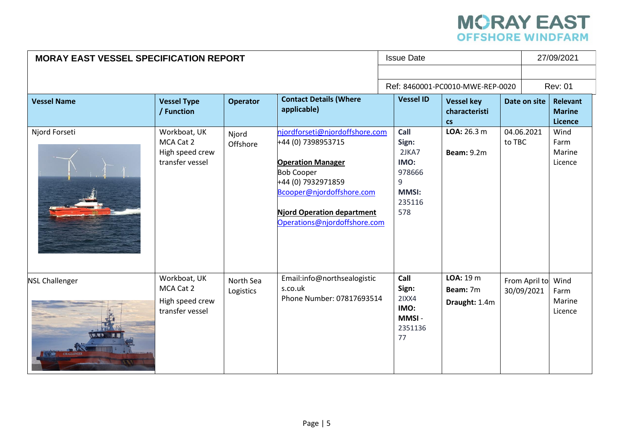## **MORAY EAST**<br>OFFSHORE WINDFARM

| <b>MORAY EAST VESSEL SPECIFICATION REPORT</b> |                                                                 |                        |                                                                                                                                                                                                                        | <b>Issue Date</b>                                                              |                                                 |        | 27/09/2021                  |                                      |
|-----------------------------------------------|-----------------------------------------------------------------|------------------------|------------------------------------------------------------------------------------------------------------------------------------------------------------------------------------------------------------------------|--------------------------------------------------------------------------------|-------------------------------------------------|--------|-----------------------------|--------------------------------------|
|                                               |                                                                 |                        |                                                                                                                                                                                                                        |                                                                                |                                                 |        |                             |                                      |
|                                               |                                                                 |                        |                                                                                                                                                                                                                        |                                                                                | Ref: 8460001-PC0010-MWE-REP-0020                |        |                             | <b>Rev: 01</b>                       |
| <b>Vessel Name</b>                            | <b>Vessel Type</b><br>/ Function                                | <b>Operator</b>        | <b>Contact Details (Where</b><br>applicable)                                                                                                                                                                           | <b>Vessel ID</b>                                                               | <b>Vessel key</b><br>characteristi<br><b>CS</b> |        | Date on site                | Relevant<br><b>Marine</b><br>Licence |
| Njord Forseti                                 | Workboat, UK<br>MCA Cat 2<br>High speed crew<br>transfer vessel | Njord<br>Offshore      | njordforseti@njordoffshore.com<br>+44 (0) 7398953715<br><b>Operation Manager</b><br><b>Bob Cooper</b><br>+44 (0) 7932971859<br>Bcooper@njordoffshore.com<br>Njord Operation department<br>Operations@njordoffshore.com | Call<br>Sign:<br>2JKA7<br>IMO:<br>978666<br>9<br><b>MMSI:</b><br>235116<br>578 | LOA: 26.3 m<br><b>Beam: 9.2m</b>                | to TBC | 04.06.2021                  | Wind<br>Farm<br>Marine<br>Licence    |
| <b>NSL Challenger</b>                         | Workboat, UK<br>MCA Cat 2<br>High speed crew<br>transfer vessel | North Sea<br>Logistics | Email:info@northsealogistic<br>s.co.uk<br>Phone Number: 07817693514                                                                                                                                                    | Call<br>Sign:<br>2IXX4<br>IMO:<br>MMSI-<br>2351136<br>77                       | LOA: 19 m<br>Beam: 7m<br>Draught: 1.4m          |        | From April to<br>30/09/2021 | Wind<br>Farm<br>Marine<br>Licence    |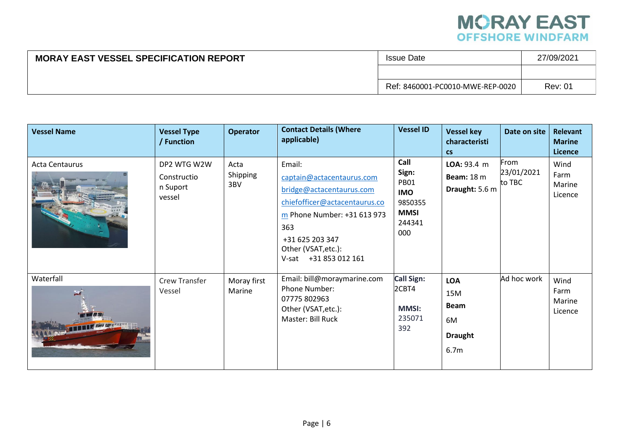

| <b>MORAY EAST VESSEL SPECIFICATION REPORT</b> | <b>Issue Date</b>                | 27/09/2021     |
|-----------------------------------------------|----------------------------------|----------------|
|                                               |                                  |                |
|                                               | Ref: 8460001-PC0010-MWE-REP-0020 | <b>Rev: 01</b> |

| <b>Vessel Name</b>    | <b>Vessel Type</b><br>/ Function                 | <b>Operator</b>         | <b>Contact Details (Where</b><br>applicable)                                                                                                                                                                 | <b>Vessel ID</b>                                                                      | <b>Vessel key</b><br>characteristi<br>$\mathsf{cs}$                          | Date on site                 | <b>Relevant</b><br><b>Marine</b><br><b>Licence</b> |
|-----------------------|--------------------------------------------------|-------------------------|--------------------------------------------------------------------------------------------------------------------------------------------------------------------------------------------------------------|---------------------------------------------------------------------------------------|------------------------------------------------------------------------------|------------------------------|----------------------------------------------------|
| <b>Acta Centaurus</b> | DP2 WTG W2W<br>Constructio<br>n Suport<br>vessel | Acta<br>Shipping<br>3BV | Email:<br>captain@actacentaurus.com<br>bridge@actacentaurus.com<br>chiefofficer@actacentaurus.co<br>m Phone Number: +31 613 973<br>363<br>+31 625 203 347<br>Other (VSAT, etc.):<br>+31 853 012 161<br>V-sat | Call<br>Sign:<br><b>PB01</b><br><b>IMO</b><br>9850355<br><b>MMSI</b><br>244341<br>000 | LOA: 93.4 m<br><b>Beam:</b> 18 m<br>Draught: 5.6 m                           | From<br>23/01/2021<br>to TBC | Wind<br>Farm<br>Marine<br>Licence                  |
| Waterfall             | <b>Crew Transfer</b><br>Vessel                   | Moray first<br>Marine   | Email: bill@moraymarine.com<br>Phone Number:<br>07775 802963<br>Other (VSAT, etc.):<br>Master: Bill Ruck                                                                                                     | <b>Call Sign:</b><br>2CBT4<br><b>MMSI:</b><br>235071<br>392                           | <b>LOA</b><br>15M<br><b>Beam</b><br>6M<br><b>Draught</b><br>6.7 <sub>m</sub> | Ad hoc work                  | Wind<br>Farm<br>Marine<br>Licence                  |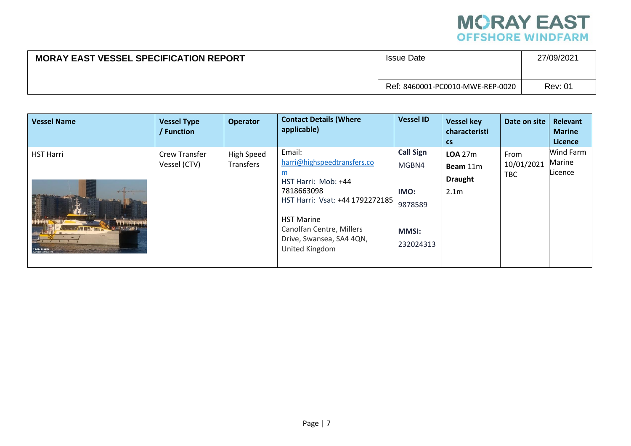

| <b>MORAY EAST VESSEL SPECIFICATION REPORT</b> | <b>Issue Date</b>                | 27/09/2021     |
|-----------------------------------------------|----------------------------------|----------------|
|                                               |                                  |                |
|                                               | Ref: 8460001-PC0010-MWE-REP-0020 | <b>Rev: 01</b> |

| <b>Vessel Name</b><br><b>Vessel Type</b><br>/ Function                                                                                                                        | <b>Operator</b>         | <b>Contact Details (Where</b><br>applicable)                                                                                                                                                                             | <b>Vessel ID</b>                                                          | <b>Vessel key</b><br>characteristi                                         | Date on site                     | Relevant<br><b>Marine</b>                               |
|-------------------------------------------------------------------------------------------------------------------------------------------------------------------------------|-------------------------|--------------------------------------------------------------------------------------------------------------------------------------------------------------------------------------------------------------------------|---------------------------------------------------------------------------|----------------------------------------------------------------------------|----------------------------------|---------------------------------------------------------|
| <b>HST Harri</b><br><b>Crew Transfer</b><br>Vessel (CTV)<br><b>EFFETEER</b><br>Le little d <mark>e</mark><br><b>AWRECISTION</b><br><b>D</b> Eddy Decorte<br>MarineTraffic.com | High Speed<br>Transfers | Email:<br>harri@highspeedtransfers.co<br><u>m</u><br>HST Harri: Mob: +44<br>7818663098<br>HST Harri: Vsat: +44 1792272185<br><b>HST Marine</b><br>Canolfan Centre, Millers<br>Drive, Swansea, SA4 4QN,<br>United Kingdom | <b>Call Sign</b><br>MGBN4<br>IMO:<br>9878589<br><b>MMSI:</b><br>232024313 | $\mathsf{CS}$<br>LOA 27m<br>Beam 11m<br><b>Draught</b><br>2.1 <sub>m</sub> | From<br>10/01/2021<br><b>TBC</b> | <b>Licence</b><br><b>Wind Farm</b><br>Marine<br>Licence |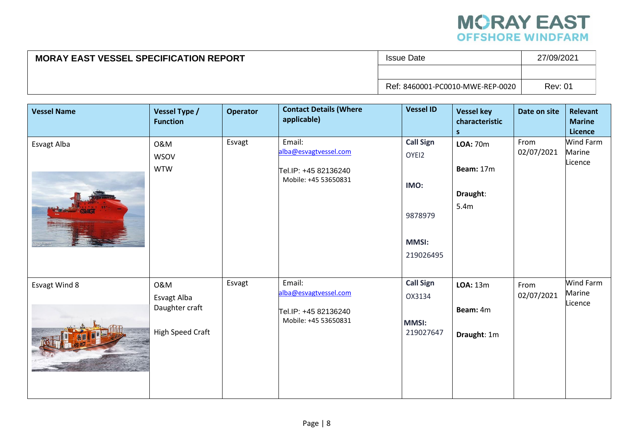

| <b>MORAY EAST VESSEL SPECIFICATION REPORT</b> | <b>Issue Date</b>                | 27/09/2021     |
|-----------------------------------------------|----------------------------------|----------------|
|                                               |                                  |                |
|                                               | Ref: 8460001-PC0010-MWE-REP-0020 | <b>Rev: 01</b> |

| <b>Vessel Name</b> | Vessel Type /<br><b>Function</b>                                | <b>Operator</b> | <b>Contact Details (Where</b><br>applicable)                                    | <b>Vessel ID</b>                                                          | <b>Vessel key</b><br>characteristic<br>S         | Date on site       | <b>Relevant</b><br><b>Marine</b><br>Licence |
|--------------------|-----------------------------------------------------------------|-----------------|---------------------------------------------------------------------------------|---------------------------------------------------------------------------|--------------------------------------------------|--------------------|---------------------------------------------|
| Esvagt Alba        | 0&M<br><b>WSOV</b><br><b>WTW</b>                                | Esvagt          | Email:<br>alba@esvagtvessel.com<br>Tel.IP: +45 82136240<br>Mobile: +45 53650831 | <b>Call Sign</b><br>OYEI2<br>IMO:<br>9878979<br><b>MMSI:</b><br>219026495 | <b>LOA: 70m</b><br>Beam: 17m<br>Draught:<br>5.4m | From<br>02/07/2021 | Wind Farm<br>Marine<br>Licence              |
| Esvagt Wind 8      | 0&M<br>Esvagt Alba<br>Daughter craft<br><b>High Speed Craft</b> | Esvagt          | Email:<br>alba@esvagtvessel.com<br>Tel.IP: +45 82136240<br>Mobile: +45 53650831 | <b>Call Sign</b><br>OX3134<br><b>MMSI:</b><br>219027647                   | <b>LOA: 13m</b><br>Beam: 4m<br>Draught: 1m       | From<br>02/07/2021 | Wind Farm<br>Marine<br>Licence              |